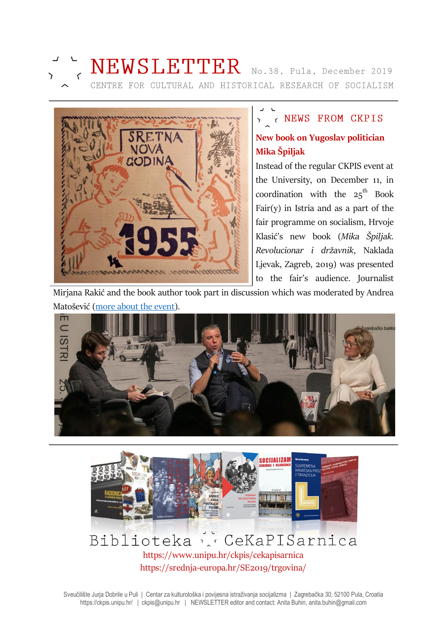



# Y < NEWS FROM CKPIS **New book on Yugoslav politician Mika Špiljak**

Instead of the regular CKPIS event at the University, on December 11, in coordination with the  $25^{\text{th}}$  Book Fair(y) in Istria and as a part of the fair programme on socialism, Hrvoje Klasić's new book (*Mika Špiljak. Revolucionar i državnik*, Naklada Ljevak, Zagreb, 2019) was presented to the fair's audience. Journalist

Mirjana Rakić and the book author took part in discussion which was moderated by Andrea Matošević [\(more about the event\)](http://sanjamknjige.hr/hr/2019/program/dnevnik-sajma/7-dan/).





# Biblioteka & CeKaPISarnica https://www.unipu.hr/ckpis/cekapisarnica https://srednja-europa.hr/SE2019/trgovina/

Sveučilište Jurja Dobrile u Puli | Centar za kulturološka i povijesna istraživanja socijalizma | Zagrebačka 30, 52100 Pula, Croatia https://ckpis.unipu.hr/ | ckpis@unipu.hr | NEWSLETTER editor and contact: Anita Buhin, anita.buhin@gmail.com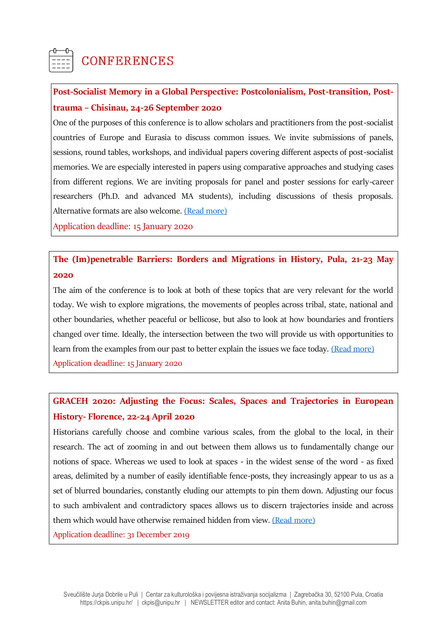

# **CONFERENCES**

## **Post-Socialist Memory in a Global Perspective: Postcolonialism, Post-transition, Posttrauma – Chisinau, 24-26 September 2020**

One of the purposes of this conference is to allow scholars and practitioners from the post-socialist countries of Europe and Eurasia to discuss common issues. We invite submissions of panels, sessions, round tables, workshops, and individual papers covering different aspects of post-socialist memories. We are especially interested in papers using comparative approaches and studying cases from different regions. We are inviting proposals for panel and poster sessions for early-career researchers (Ph.D. and advanced MA students), including discussions of thesis proposals. Alternative formats are also welcome. [\(Read more\)](https://www.memorystudiesassociation.org/post-socialist-memory-in-a-global-perspective-postcolonialism-post-transition-post-trauma/)

Application deadline: 15 January 2020

#### **The (Im)penetrable Barriers: Borders and Migrations in History, Pula, 21-23 May 2020**

The aim of the conference is to look at both of these topics that are very relevant for the world today. We wish to explore migrations, the movements of peoples across tribal, state, national and other boundaries, whether peaceful or bellicose, but also to look at how boundaries and frontiers changed over time. Ideally, the intersection between the two will provide us with opportunities to learn from the examples from our past to better explain the issues we face today. [\(Read more\)](https://ffpu.unipu.hr/past-present-future-2020/call_for_papers) Application deadline: 15 January 2020

#### **GRACEH 2020: Adjusting the Focus: Scales, Spaces and Trajectories in European History- Florence, 22-24 April 2020**

Historians carefully choose and combine various scales, from the global to the local, in their research. The act of zooming in and out between them allows us to fundamentally change our notions of space. Whereas we used to look at spaces - in the widest sense of the word - as fixed areas, delimited by a number of easily identifiable fence-posts, they increasingly appear to us as a set of blurred boundaries, constantly eluding our attempts to pin them down. Adjusting our focus to such ambivalent and contradictory spaces allows us to discern trajectories inside and across them which would have otherwise remained hidden from view. [\(Read more\)](https://cfp.tempopedia.org/graceh2020/cfp)

Application deadline: 31 December 2019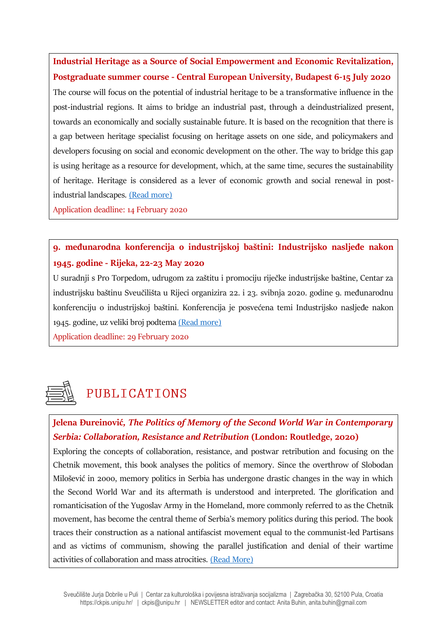**Industrial Heritage as a Source of Social Empowerment and Economic Revitalization, Postgraduate summer course - Central European University, Budapest 6-15 July 2020** The course will focus on the potential of industrial heritage to be a transformative influence in the post-industrial regions. It aims to bridge an industrial past, through a deindustrialized present, towards an economically and socially sustainable future. It is based on the recognition that there is a gap between heritage specialist focusing on heritage assets on one side, and policymakers and developers focusing on social and economic development on the other. The way to bridge this gap is using heritage as a resource for development, which, at the same time, secures the sustainability of heritage. Heritage is considered as a lever of economic growth and social renewal in postindustrial landscapes. [\(Read more\)](https://summeruniversity.ceu.edu/industrial-heritage-2020)

Application deadline: 14 February 2020

## **9. međunarodna konferencija o industrijskoj baštini: Industrijsko nasljeđe nakon 1945. godine - Rijeka, 22-23 May 2020**

U suradnji s Pro Torpedom, udrugom za zaštitu i promociju riječke industrijske baštine, Centar za industrijsku baštinu Sveučilišta u Rijeci organizira 22. i 23. svibnja 2020. godine 9. međunarodnu konferenciju o industrijskoj baštini. Konferencija je posvećena temi Industrijsko nasljeđe nakon 1945. godine, uz veliki broj podtema [\(Read more\)](https://drive.google.com/file/d/1a5qKxqT4OmOQ4rUE3O-9wklC2PS7_0E6/view)

Application deadline: 29 February 2020



# PUBLICATIONS

#### **Jelena Đureinović***, The Politics of Memory of the Second World War in Contemporary Serbia: Collaboration, Resistance and Retribution* **(London: Routledge, 2020)**

Exploring the concepts of collaboration, resistance, and postwar retribution and focusing on the Chetnik movement, this book analyses the politics of memory. Since the overthrow of Slobodan Milošević in 2000, memory politics in Serbia has undergone drastic changes in the way in which the Second World War and its aftermath is understood and interpreted. The glorification and romanticisation of the Yugoslav Army in the Homeland, more commonly referred to as the Chetnik movement, has become the central theme of Serbia's memory politics during this period. The book traces their construction as a national antifascist movement equal to the communist-led Partisans and as victims of communism, showing the parallel justification and denial of their wartime activities of collaboration and mass atrocities. [\(Read More\)](https://www.routledge.com/The-Politics-of-Memory-of-the-Second-World-War-in-Contemporary-Serbia/Dureinovic/p/book/9780367278045)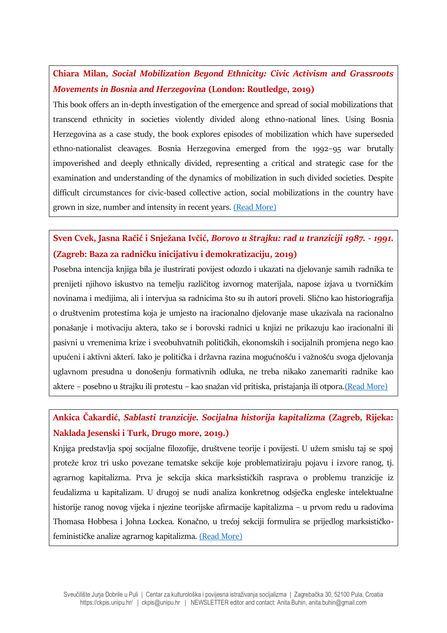## **Chiara Milan***, Social Mobilization Beyond Ethnicity: Civic Activism and Grassroots Movements in Bosnia and Herzegovina* **(London: Routledge, 2019)**

This book offers an in-depth investigation of the emergence and spread of social mobilizations that transcend ethnicity in societies violently divided along ethno-national lines. Using Bosnia Herzegovina as a case study, the book explores episodes of mobilization which have superseded ethno-nationalist cleavages. Bosnia Herzegovina emerged from the 1992–95 war brutally impoverished and deeply ethnically divided, representing a critical and strategic case for the examination and understanding of the dynamics of mobilization in such divided societies. Despite difficult circumstances for civic-based collective action, social mobilizations in the country have grown in size, number and intensity in recent years. [\(Read More\)](https://www.routledge.com/Social-Mobilization-Beyond-Ethnicity-Civic-Activism-and-Grassroots-Movements/Milan/p/book/9780815387022)

#### **Sven Cvek, Jasna Račić i Snježana Ivčić,** *Borovo u štrajku: rad u tranziciji 1987. - 1991.* **(Zagreb: Baza za radničku inicijativu i demokratizaciju, 2019)**

Posebna intencija knjiga bila je ilustrirati povijest odozdo i ukazati na djelovanje samih radnika te prenijeti njihovo iskustvo na temelju različitog izvornog materijala, napose izjava u tvorničkim novinama i medijima, ali i intervjua sa radnicima što su ih autori proveli. Slično kao historiografija o društvenim protestima koja je umjesto na iracionalno djelovanje mase ukazivala na racionalno ponašanje i motivaciju aktera, tako se i borovski radnici u knjizi ne prikazuju kao iracionalni ili pasivni u vremenima krize i sveobuhvatnih političkih, ekonomskih i socijalnih promjena nego kao upućeni i aktivni akteri. Iako je politička i državna razina mogućnošću i važnošću svoga djelovanja uglavnom presudna u donošenju formativnih odluka, ne treba nikako zanemariti radnike kao aktere – posebno u štrajku ili protestu – kao snažan vid pritiska, pristajanja ili otpora.[\(Read More\)](http://borovo1988.radnickaprava.org/hr/borovo-u-strajku)

# **Ankica Čakardić,** *Sablasti tranzicije. Socijalna historija kapitalizma* **(Zagreb, Rijeka: Naklada Jesenski i Turk, Drugo more, 2019.)**

Knjiga predstavlja spoj socijalne filozofije, društvene teorije i povijesti. U užem smislu taj se spoj proteže kroz tri usko povezane tematske sekcije koje problematiziraju pojavu i izvore ranog, tj. agrarnog kapitalizma. Prva je sekcija skica marksističkih rasprava o problemu tranzicije iz feudalizma u kapitalizam. U drugoj se nudi analiza konkretnog odsječka engleske intelektualne historije ranog novog vijeka i njezine teorijske afirmacije kapitalizma – u prvom redu u radovima Thomasa Hobbesa i Johna Lockea. Konačno, u trećoj sekciji formulira se prijedlog marksističkofeminističke analize agrarnog kapitalizma. [\(Read More\)](http://www.historiografija.hr/?p=18023)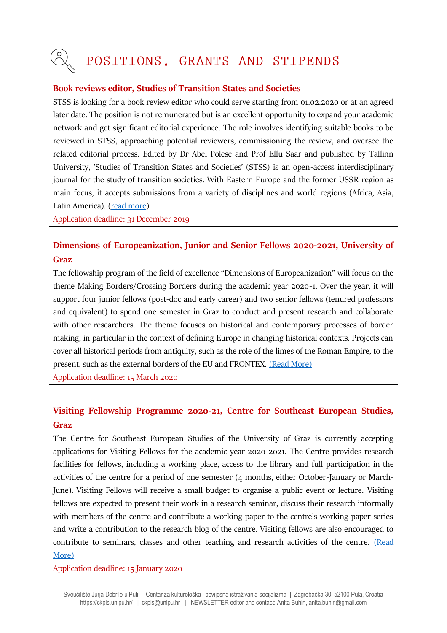# POSITIONS, GRANTS AND STIPENDS

#### **Book reviews editor, Studies of Transition States and Societies**

STSS is looking for a book review editor who could serve starting from 01.02.2020 or at an agreed later date. The position is not remunerated but is an excellent opportunity to expand your academic network and get significant editorial experience. The role involves identifying suitable books to be reviewed in STSS, approaching potential reviewers, commissioning the review, and oversee the related editorial process. Edited by Dr Abel Polese and Prof Ellu Saar and published by Tallinn University, 'Studies of Transition States and Societies' (STSS) is an open-access interdisciplinary journal for the study of transition societies. With Eastern Europe and the former USSR region as main focus, it accepts submissions from a variety of disciplines and world regions (Africa, Asia, Latin America). [\(read more\)](http://publications.tlu.ee/index.php/stss/index)

Application deadline: 31 December 2019

#### **Dimensions of Europeanization, Junior and Senior Fellows 2020-2021, University of Graz**

The fellowship program of the field of excellence "Dimensions of Europeanization" will focus on the theme Making Borders/Crossing Borders during the academic year 2020-1. Over the year, it will support four junior fellows (post-doc and early career) and two senior fellows (tenured professors and equivalent) to spend one semester in Graz to conduct and present research and collaborate with other researchers. The theme focuses on historical and contemporary processes of border making, in particular in the context of defining Europe in changing historical contexts. Projects can cover all historical periods from antiquity, such as the role of the limes of the Roman Empire, to the present, such as the external borders of the EU and FRONTEX. [\(Read More\)](https://europaeisierung.uni-graz.at/)

Application deadline: 15 March 2020

#### **Visiting Fellowship Programme 2020-21, Centre for Southeast European Studies, Graz**

The Centre for Southeast European Studies of the University of Graz is currently accepting applications for Visiting Fellows for the academic year 2020-2021. The Centre provides research facilities for fellows, including a working place, access to the library and full participation in the activities of the centre for a period of one semester (4 months, either October-January or March-June). Visiting Fellows will receive a small budget to organise a public event or lecture. Visiting fellows are expected to present their work in a research seminar, discuss their research informally with members of the centre and contribute a working paper to the centre's working paper series and write a contribution to the research blog of the centre. Visiting fellows are also encouraged to contribute to seminars, classes and other teaching and research activities of the centre. [\(Read](https://suedosteuropa.uni-graz.at/en/centre/visiting-fellowship-programme/)  [More\)](https://suedosteuropa.uni-graz.at/en/centre/visiting-fellowship-programme/)

Application deadline: 15 January 2020